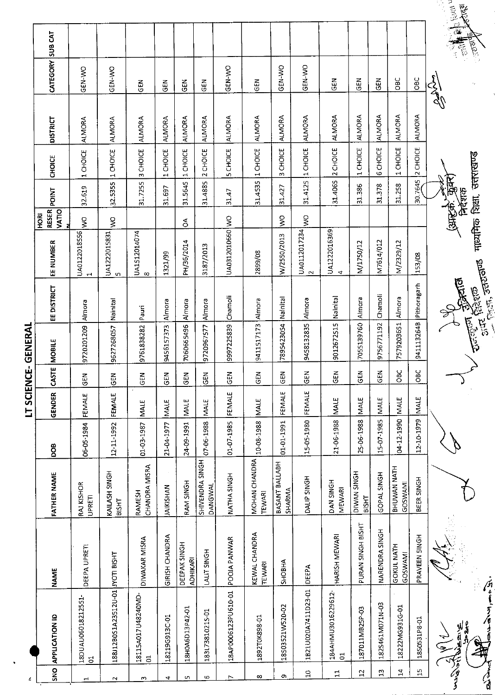| ı  |
|----|
|    |
|    |
|    |
|    |
|    |
|    |
|    |
|    |
|    |
| r  |
| ì  |
| Ĩ, |
|    |

 $\ddot{\phantom{0}}$ 

|     |                                      |                                 |                               |            |               |            | <b>INANINIS-37NII) SI</b> |                                       |                                                      |                 |                        |                 |                 |               |                    |
|-----|--------------------------------------|---------------------------------|-------------------------------|------------|---------------|------------|---------------------------|---------------------------------------|------------------------------------------------------|-----------------|------------------------|-----------------|-----------------|---------------|--------------------|
|     | <b>APPLICATION ID</b>                | <b>NAME</b>                     | <b>FATHER NAME</b>            | <b>BOO</b> | <b>GENDER</b> | CASTE      | <b>MOBILE</b>             | EE DISTRICT                           | RESER<br>VATIO<br>H <sub>ORI</sub><br>đ<br>EE NUMBER | <b>POINT</b>    |                        | CHOICE          | <b>DISTRICT</b> | CATEGORY      | SUB CAT            |
|     | 18DUAU06018212551-<br> 01            | DEEPA UPRETI                    | RAJ KISHOR<br>UPRETI          | 06-05-1984 | FEMALE        | <b>SEN</b> | 9720201209                | Almora                                | $\sum_{i=1}^{n}$<br>UA0122018556<br>$\mathbf{H}$     | 32619           |                        | 1 CHOICE        | <b>ALMORA</b>   | GEN-WO        |                    |
|     | 188J12B0S1A23512U-01 JYOTI BISHT     |                                 | KAILASH SINGH<br><b>BISHT</b> | 12-11-1992 | FEMALE        | <b>GEN</b> | 9627268057                | Nainital                              | Ş<br>UA1222015831<br>S                               |                 | 32.5355                | 1 CHOICE        | <b>ALMORA</b>   | GEN-WO        |                    |
| S.  | 18115A017U48240MD-                   | DIWAKAR MISRA                   | CHANDRA MISRA<br>RAMESH       | 01-03-1987 | <b>MALE</b>   | GEN        | 9761838282                | Pauri                                 | UA1512014074<br>$\infty$                             |                 | 31.7255                | 3 CHOICE        | <b>ALMORA</b>   | <b>GEN</b>    |                    |
|     | 18219G913C-01                        | <b>GIRISH CHANDRA</b>           | <b>JAIKISHAN</b>              | 21-04-1977 | <b>IMALE</b>  | <b>GEN</b> | 9456157373                | Almora                                | 1321/99                                              |                 | 31.697                 | 1 CHOICE        | <b>ALMORA</b>   | ćΕ            |                    |
|     | 18H0A6D13P42-01                      | DEEPAK SINGH<br><b>ADHIKARI</b> | RAM SINGH                     | 24 09-1991 | <b>MALE</b>   | GEN        | 7060665496                | Almora                                | $\delta$<br>PH/36/2014                               |                 | 31.5645                | 1 CHOICE        | <b>ALMORA</b>   | کا<br>GE      |                    |
|     | 183L73810215-01                      | <b>LALIT SINGH</b>              | SHIVENDRA SINGH<br>DANGWAL    | 07-06-1988 | <b>MALE</b>   | <b>GEN</b> | 9720967577                | Almora                                | 3187/2013                                            |                 | 31.4885                | 2 CHOICE        | <b>ALMORA</b>   | GEN           |                    |
|     | 18AP0006123PU610-01                  | <b>POOJA PANWAR</b>             | NATHA SINGH                   | 01 07 1985 | FEMALE        | <b>GEN</b> | 9977225839                | Chamoli                               | UA0312010660 WO                                      | 31.47           |                        | <b>5 CHOICE</b> | <b>ALMORA</b>   | GEN-WO        |                    |
|     | 1892T0K898-01                        | KEWAL CHANDRA<br><b>TEWARI</b>  | MOHAN CHANDRA<br>TEWARI       | 10-08-1988 | <b>MALE</b>   | 인<br>인     | 9411517173                | Almora                                | 2899/08                                              |                 | Н<br>31.4535           | <b>CHOICE</b>   | <b>ALMORA</b>   | 인<br>인        |                    |
|     | 18503521W520-02                      | <b>SHOBHA</b>                   | BASANT BALLABH<br>SHARMA      | 01-01-1991 | FEMALE        | 군<br>아     | 7895423054                | Nainital                              | $\tilde{\epsilon}$<br>W/2550/2013                    |                 | m<br>31.427            | CHOICE          | <b>ALMORA</b>   | GEN-VO        |                    |
|     | 1B21U020A7411D23-01                  | DEEPA                           | DALIP SINGH                   | 15-05-1980 | FEMALE        | <b>GEN</b> | 9458132835                | Almora                                | Ş<br>UA0112017234<br>$\mathbf{\mathcal{L}}$          |                 | 314125                 | 1 CHOICE        | <b>ALMORA</b>   | GEN-WO        |                    |
|     | 184AHMU3016229612-<br>$\overline{5}$ | <b>HARISH MEWARI</b>            | <b>DAN SINGH</b><br>MEWARI    | 21-06-1988 | <b>MALE</b>   | <b>GEN</b> | 9012672515                | Nainital                              | UA1222016369<br>4                                    |                 | 31.4065                | 2 CHOICE        | <b>ALMORA</b>   | <b>GEN</b>    |                    |
|     | 187011MB25P-03                       | PURAN SINGH BISHT               | DIWAN SINGH<br><b>BISHT</b>   | 25-06-1988 | <b>MALE</b>   | <b>GEN</b> | 7055139760                | Almora                                | M/1750/12                                            |                 | $\mathbf{r}$<br>31.386 | CHOICE          | <b>ALMORA</b>   | <b>URS</b>    |                    |
|     | 1825461M071N-03                      | NARENDRA SINGH                  | GOPAL SINGH                   | 15-07-1985 | MALE          | <b>SEN</b> | 9756771192                | Chamoli                               | M7614/012                                            |                 | 31.378                 | 6 CHOICE        | <b>ALMORA</b>   | $rac{1}{5}$   |                    |
|     | 18222MG931G-01                       | GOKUL NATH<br>GOSWAMI           | BHUWAN NATH<br><b>GOSWAMI</b> | 04-12-1990 | <b>MALE</b>   | <b>OBC</b> | 7579203651                | Almora                                | M/2329/12                                            |                 | 31.258                 | 1 CHOICE        | <b>ALMORA</b>   | OBC           |                    |
|     | 1850531P8-01                         | PRAVEEN SINGH                   | BEER SINGH                    | 12-10-1979 | <b>NALE</b>   | <b>BC</b>  | 941113264B                | Pithoragarh                           | 153/08                                               |                 | 30.7645                | 2 CHOICE        | <b>ALMORA</b>   | OBC           |                    |
|     | $\frac{1}{2}$                        |                                 |                               |            |               |            |                           | F                                     |                                                      | (अस्क्रे. कुक्स |                        |                 |                 | الحمل<br>كالم |                    |
| 不是了 | ฟร<br>ดีกั้                          |                                 |                               |            |               |            |                           | <b>BURKIT</b>                         |                                                      | निर्दशक         |                        |                 |                 |               | <b>A</b> Represent |
|     | ぶらしかけり                               |                                 |                               |            |               |            | شنشقش أ                   | Central Septembre<br>$\frac{1}{2552}$ | माध्यमिक शिक्षा, उत्तराखण्ड                          |                 |                        |                 |                 |               | <b>B</b>           |
|     |                                      |                                 |                               |            |               |            |                           |                                       |                                                      |                 |                        |                 |                 |               |                    |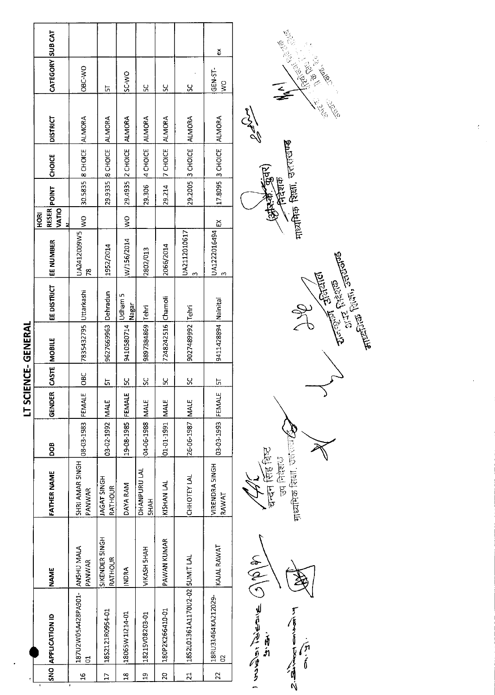|                      |                                            |                                                 |                           |                  |                            |                    |                                | ă                              |
|----------------------|--------------------------------------------|-------------------------------------------------|---------------------------|------------------|----------------------------|--------------------|--------------------------------|--------------------------------|
|                      | CATEGORY SUB CAT                           | OBC-VO                                          | 뉴                         | SC-WO            | 59                         | ပ္တ                | $\frac{8}{5}$                  | GEN-ST-<br>$\geq$              |
|                      | <b>DISTRICT</b>                            |                                                 |                           | <b>ALMORA</b>    |                            | <b>ALMORA</b>      |                                |                                |
|                      | <b>CHOICE</b>                              | 30.5835   8 CHOICE   ALMORA                     | 29.9335 8 CHOICE ALMORA   | 29.4935 2 CHOICE | 4 CHOICE ALMORA            | <b>Z</b> CHOICE    | 29.2005 3 CHOICE ALMORA        | 17.8095 3 CHOICE ALMORA        |
|                      |                                            |                                                 |                           |                  | 29.306                     | 29.214             |                                |                                |
|                      | <b>RESER</b> POINT<br><b>VATIO</b><br>HORI | $\frac{1}{2}$                                   |                           | $\frac{1}{2}$    |                            |                    |                                |                                |
|                      | EE NUMBER                                  | JA2412009W5<br>78                               | 1952/2014                 | W/156/2014       | 2802/013                   | 2066/2014          | UA2112010617                   | UA1222016494 EX                |
|                      | EE DISTRICT                                |                                                 |                           | Udham 5<br>Nagar |                            |                    |                                |                                |
| <b>IENCE-GENEKAL</b> | <b>MOBILE</b>                              | 7835432795 Uttarkashi                           | 9627669963 Dehradun       | 9410580714       | 9897384869 Lehri           | 7248242516 Chamoli | 9027489992 Tehri               | 9411428894   Nainital          |
|                      | CASTE                                      | OBC                                             | <u>ភ</u>                  | <u>52</u>        | <u>se</u>                  | <u>52</u>          | $\frac{8}{5}$                  | 뉴                              |
| こっこ                  | GENDER                                     |                                                 |                           | FEMALE           |                            |                    |                                |                                |
|                      | 800                                        | 08-03-1983 FEMALE                               | 03-02-1992 MALE           | 19-08-1985       | 04-06-1988 MALE            | 01-01-1991 MALE    | 26-06-1987 MALE                | 03-03-1993 FEMALE              |
|                      | FATHER NAME                                | SHRI AMAR SINGH<br>PANWAR                       | H5NIS TAGAT<br>RATHOUR    | DAYA RAM         | DHANPURU LAL<br><b>HAH</b> | KISHAN LAL         | CHHOTEY LAL                    | <b>VIRENDRA 5INGH</b><br>RAWAT |
|                      | <b>NAME</b>                                | PANWAR                                          | SIKENDER SINGH<br>RATHOUR | <b>INDRA</b>     | VIKASH 5HAH                | PAWAN KUMAR        |                                | KAJAL RAWAT                    |
|                      | <b>NO APPLICATION ID</b>                   | 187U2W05A428PA901- AN5HU MALA<br>$\overline{5}$ | 18S2121R0954-01           | 18065W1I214-01   | 18215V08203-01             | 180P2K266410-01    | 1852L01361A1170U2-02 5UMIT LAL | 18RU31464KA212029-<br>8        |
|                      |                                            | ڡۣ                                              |                           | œ                | ្ន                         | g                  | ದ                              | 22                             |



 $\mathcal{P}_{\mathcal{S}}$ **VELLE Architecture**  $\widetilde{\mathcal{F}}$ R. 551000 माजमिक शिक्षा, उत्तराखण्ड (प्रोफ्से कुंवर)<br>(निर्वेशक

**IT SCIENCE, GENERAL**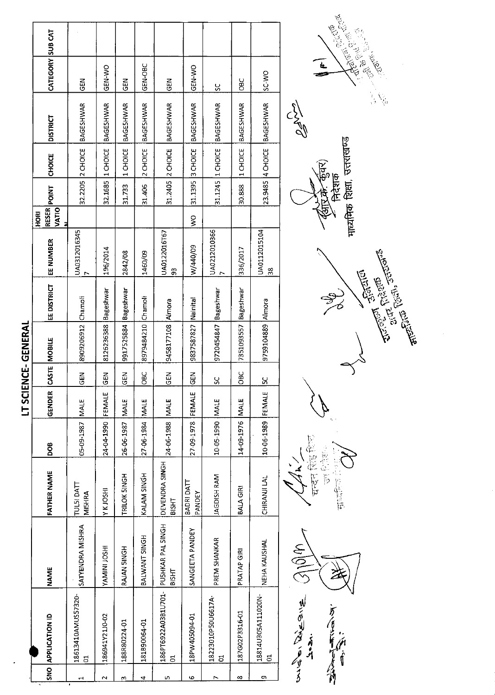|                    | CATEGORY SUB CAT   | <b>GEN</b>                  | GEN-WO              | 군<br>영               | GEN-OBC            | <b>GEN</b>                            | <b>ORN-NO</b>         | ပ္ပ                                  | <b>DBC</b>           | <b>OW-3S</b>                         |
|--------------------|--------------------|-----------------------------|---------------------|----------------------|--------------------|---------------------------------------|-----------------------|--------------------------------------|----------------------|--------------------------------------|
|                    | <b>DISTRICT</b>    | BAGESHWAR                   | <b>BAGESHWAR</b>    | BAGESHWAR            | BAGESHWAR          | <b>BAGESHWAR</b>                      | <b>BAGESHWAR</b>      | <b>BAGESHWAR</b>                     | <b>BAGESHWAR</b>     | BAGESHWAR                            |
|                    | <b>CHOICE</b>      | 32.2205 2 CHOICE            | 32.1685 1 CHOICE    | 1 CHOICE             | 2 CHOICE           | 31.2405 2 CHOICE                      | 31.1395 3 CHOICE      | 31.1245 1 CHOICE                     | 1 CHOICE             | 23.9485 4 CHOICE                     |
|                    | <b>RESER</b> POINT |                             |                     | 31.733               | 31.406             |                                       |                       |                                      | 30.888               |                                      |
|                    | VATIO<br>HORI      |                             |                     |                      |                    |                                       | $\geq$                |                                      |                      |                                      |
|                    | EE NUMBER          | UA0312016345                | 196/2014            | 2842/08              | 1460/09            | UA0122016T67<br>$\frac{3}{2}$         | W/440/09              | UA0212010366                         | 336/2017             | UA0112015104<br>$\frac{38}{3}$       |
|                    | EE DISTRICT        |                             | Bageshwar           |                      |                    |                                       |                       |                                      |                      |                                      |
| <br>  <br>  <br> } | CASTE MOBILE       | 8909206912 Chamoli          | 8126236388          | 9917525884 Bageshwar | 8979484210 Chamoli | 9458177108 Almora                     | 9837587827   Nainital | 9720454847 Bageshwar                 | 7351093557 Bageshwar | 9759104889 Almora                    |
| <br> }<br>         |                    | <b>GEN</b>                  | $rac{1}{6}$         | <b>SEN</b>           | OBC                | <b>N3D</b>                            | $rac{1}{65}$          | Š                                    | <b>OBC</b>           | <u>ម</u>                             |
| j<br>;<br>;        | GENDER             |                             | FEMALE              | <b>MALE</b>          |                    |                                       | FEMALE                |                                      |                      |                                      |
|                    | <b>800</b>         | 05-09-1987   MALE           | 24-04-1990          | 26-06-1987           | 27-06-1984 MALE    | 24-06-1988 MALE                       | 27-09-1978            | 10-05-1990   MALE                    | 14-09-1976 MALE      | 10-06-1989 FEMALE                    |
|                    | <b>FATHER NAME</b> | TULSI DATT<br><b>MISHRA</b> | Y K JOSHI           | TRILOK SINGH         | KALAM SINGH        | DEVENDRA SINGH<br><b>BISHT</b>        | BADRI DATT<br>PANDEY  | JAGDISH RAM                          | <b>BALA GIRI</b>     | CHIRANJI LAL                         |
|                    | NAME               | SATYENDRA MISHRA            | <b>IHSO1 INIMAY</b> | RAJAN 5INGH          | BALWANT SINGH      | PUSHKAR PAL SINGH<br><b>BISHT</b>     | SANGEETA PANDEY       | PREM SHANKAR                         | PRATAP GIRI          | NEHA KAUSHAL                         |
|                    | NO APPLICATION ID  | 18613410AMUS57320-<br>đ     | 186941Y21J0-02      | 188R80224-01         | 181B90064-01       | 186PT6922A03B1U701-<br>$\overline{5}$ | 18PW405094-01         | 18223010P50U6617A-<br>$\overline{5}$ | 187G02P3316-01       | 18814U305A111020N-<br>$\overline{5}$ |
|                    |                    |                             |                     |                      |                    |                                       |                       |                                      |                      |                                      |



CEL माध्यमिक शिक्षा, उत्तराखण्ड निदेशक

माध्यमिक है।

**CONTRACTOR**<br>The Contractor of the Contractor  $\frac{1}{\sqrt{2}}$ 

万万三十万百



囊包部 चन्दन सिंह।

**MISSION**<br>BIOMA

LT SCIENCE-GENERAL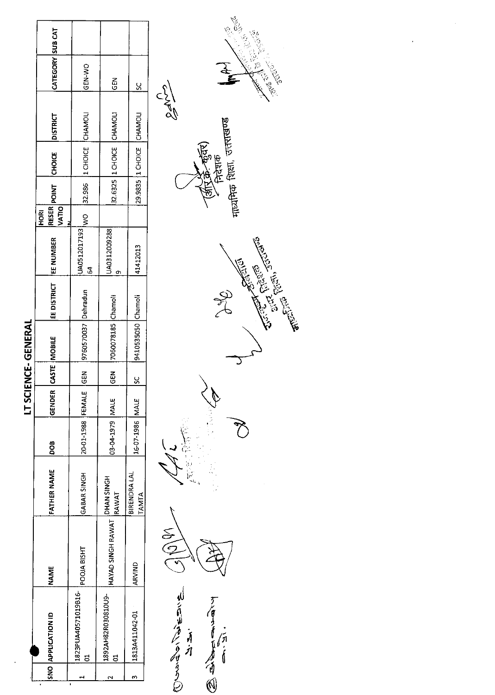| CATEGORY SUB CAT<br>GEN-WO<br>60<br><u>ყ</u><br>29.9835 1 CHOICE CHAMOL<br>32.6325 1 CHOICE CHAMOLI<br>32.986 11 CHOICE CHAMOLI<br><b>DISTRICT</b><br><b>CHOICE</b><br><b>IRESER</b> POINT<br>VATIO<br>o<br>Vo<br>HORI<br>UA0512017193<br>UA0312009288<br>EE DISTRICT   EE NUMBER<br>41412013<br>S4<br>٥<br>9760570037 Dehradun<br>9410535050 Chamoli<br>7060078185 Chamoli<br><b>CASTE MOBILE</b><br>$rac{2}{3}$<br>$\frac{5}{6}$<br><u>ყ</u><br>GENDER<br>20-01-1988 FEMALE<br>03-04-1979 MALE<br>16-07-1986 MALE<br>BOG<br>FATHER NAME<br>GABAR SINGH<br>BIRENDRA LAL<br>HAYAD SINGH RAWAT  DHAN SINGH<br> RAWAT<br>TAMTA<br>POOJA BISHT<br>ARVIND<br><b>NAME</b><br>1823PUA40571019B16-<br>1892AH82R030810U9-<br>1813A411042-01<br>SNO APPLICATION ID<br>ដ<br>m |  |  |  | LT SCIENCE-GENERAL |  |  |  |  |
|---------------------------------------------------------------------------------------------------------------------------------------------------------------------------------------------------------------------------------------------------------------------------------------------------------------------------------------------------------------------------------------------------------------------------------------------------------------------------------------------------------------------------------------------------------------------------------------------------------------------------------------------------------------------------------------------------------------------------------------------------------------------|--|--|--|--------------------|--|--|--|--|
|                                                                                                                                                                                                                                                                                                                                                                                                                                                                                                                                                                                                                                                                                                                                                                     |  |  |  |                    |  |  |  |  |
|                                                                                                                                                                                                                                                                                                                                                                                                                                                                                                                                                                                                                                                                                                                                                                     |  |  |  |                    |  |  |  |  |
|                                                                                                                                                                                                                                                                                                                                                                                                                                                                                                                                                                                                                                                                                                                                                                     |  |  |  |                    |  |  |  |  |
|                                                                                                                                                                                                                                                                                                                                                                                                                                                                                                                                                                                                                                                                                                                                                                     |  |  |  |                    |  |  |  |  |



Controller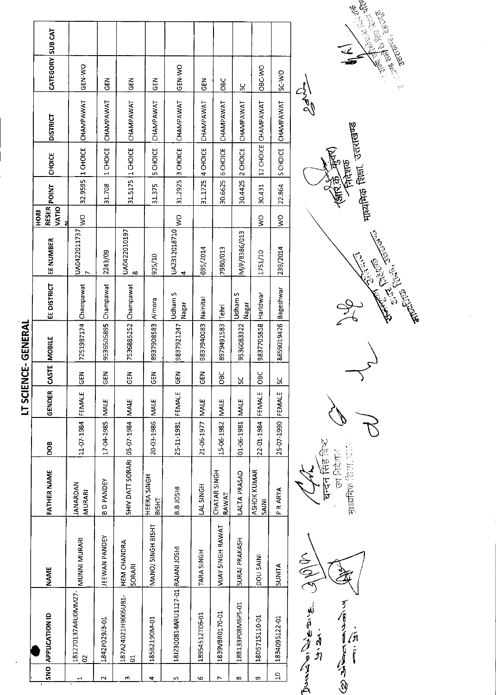| K,     |
|--------|
| r      |
|        |
|        |
|        |
|        |
| ſ      |
|        |
|        |
| I      |
| ī<br>l |
|        |
|        |
|        |
|        |
| ĩ      |
| ľ      |
| Ĩ.     |

|                | SNO APPLICATION ID                    | <b>NAME</b>                  | <b>FATHER NAME</b>               | DOB             | GENDER       | CASTE MOBILE   |                      | EE DISTRICT      | EE NUMBER         | RESER<br>HORI | POINT   | <b>CHOICE</b>     | <b>DISTRICT</b>     | CATEGORY SUB CAT |  |
|----------------|---------------------------------------|------------------------------|----------------------------------|-----------------|--------------|----------------|----------------------|------------------|-------------------|---------------|---------|-------------------|---------------------|------------------|--|
|                |                                       |                              |                                  |                 |              |                |                      |                  |                   | VATIO<br>Z    |         |                   |                     |                  |  |
| H              | 181270137A4U0MM27- MUUNNI MURARI<br>S |                              | <b>IANARDAN</b><br><b>MURARI</b> | 11-07-1984      | FEMALE       | មិ<br>ច        | 7251987174 Champawat |                  | UA0422011737      | ş             |         | 32.9595 1 CHOICE  | CHAMPAWAT           | ON-N3D           |  |
| $\sim$         | 1842P029J3-01                         | EEWAN PANDEY                 | <b>BDPANDEY</b>                  | 17-04-1985      | <b>INALE</b> | $\overline{5}$ | 9536505895           | Champawat        | 2243/09           |               | 31.708  | 1 CHOICE          | CHAMPAWAT           | る<br>5           |  |
| m              | 187A24021H9005U81-<br>5               | <b>HEM CHANDRA</b><br>SORARI | SHIV DATT SORARI 05-07-1984      |                 | <b>MALE</b>  | $rac{1}{65}$   | 7536885252 Champawat |                  | UA0422010197<br>∞ |               |         | 31.5175 11 CHOICE | CHAMPAWAT           | 준<br>연           |  |
| 4              | 185B2190M-01                          | MANOJ SINGH BISHT            | HEERA SINGH<br>BISHT             | 20-03-1986      | <b>NALE</b>  | <b>GEN</b>     | 8937908583           | Almora           | 925/10            |               | 31.375  | 5 CHOICE          | CHAMPAWAT           | M3D              |  |
| LŊ,            | 18J2300814ARU1127-01 RAJANI JOSHI     |                              | <b>B.B.IOSHI</b>                 | 25-11-1981      | FEMALE       | <b>GEN</b>     | 9837921247           | Udham S<br>Nagar | UA2312018710<br>4 | $\geq$        | 31.2925 | 3 CHOICE          | CHAMPAWAT           | <b>ORN-MO</b>    |  |
| <b>G</b>       | 18954512T06-01                        | TARA SINGH                   | LAL SINGH                        | 21-06-1977 MALE |              | $\overline{5}$ | 9837940083           | Nainital         | 695/2014          |               | 31.1725 | 4 CHOICE          | CHAMPAWAT           | る<br>05          |  |
| $\overline{ }$ | 1839V8R0170-01                        | VIJAY SINGH RAWAT            | CHATAR SINGH<br>RAWAT            | 15-06-1982      | <b>MALE</b>  | OBC            | 8979491583           | Tehri            | 7980/013          |               | 30.6625 | 6 CHOICE          | CHAMPAWAT           | <b>OBC</b>       |  |
| $\infty$       | 188133P08M6PS-01                      | SURAJ PRAKASH                | <b>ALTA PRASAD</b>               | 01-06-1981      | <b>MALE</b>  | ပ္တ            | 9536083322           | Udham S<br>Nagar | M/P/8386/013      |               | 30.4425 | 2 CHOICE          | CHAMPAWAT           | ပ္တ              |  |
| c)             | 18D571S110-01                         | DOLI SAINI                   | ASHOK KUMAR<br><b>SAINI</b>      | 22-01-1984      | FEMALE       | OBC            | 9837705858 Haridwar  |                  | 1751/10           | ş             | 30.431  |                   | 12 CHOICE CHAMPAWAT | OBC-WO           |  |
| $\Omega$       | 1834095122-01                         | SUNITA                       | P R ARYA                         | 25-07-1990      | FEMALE       | <u>ម</u>       | 8859019426           | Bageshwar        | 239/2014          | $\frac{1}{2}$ | 22.864  | <b>SCHOICE</b>    | CHAMPAWAT           | SC-WO            |  |
|                | CONTINENTIAL<br>c<br>و                |                              |                                  |                 |              |                |                      |                  |                   |               |         |                   |                     |                  |  |

' चन्दन सिंह विष्ट<br>उप सिंह विष्ट 中国的第三章



माध्यमिक शिक्षा, उत्तराखण्ड<br>भाष्यमिक शिक्षा, उत्तराखण्ड <u>र्ट्सहरू</u> Arthur Children Children  $\frac{1}{2}$ 



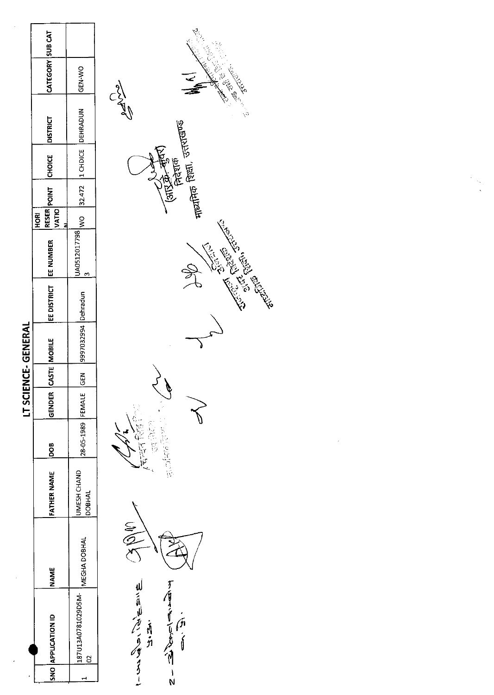|                      | CATEGORY SUB CAT          | GEN-WO                                   |
|----------------------|---------------------------|------------------------------------------|
|                      | <b>DISTRICT</b>           |                                          |
|                      | <b>RESER</b> POINT CHOICE |                                          |
|                      |                           |                                          |
|                      | VATIO<br><b>MORI</b><br>2 |                                          |
|                      |                           | JA0512017798 WO 32.472 1 CHDICE DEHRADUN |
|                      | EE DISTRICT   EE NUMBER   |                                          |
| <b>IENCE-GENERAL</b> | CASTE MOBILE              | 997032994 Dehradun                       |
|                      |                           | ー<br>品D                                  |
| <b>LISCI</b>         | GENDER                    |                                          |
|                      |                           | 28-05-1989 FEMALE                        |
|                      | FATHER NAME   DOB         | JMESH CHAND<br><b>DOBHAL</b>             |
|                      | <b>NAME</b>               | MEGHA DOBHAL                             |
|                      | SNO APPLICATION ID        | 187U13A0781029D5M-                       |
|                      |                           |                                          |



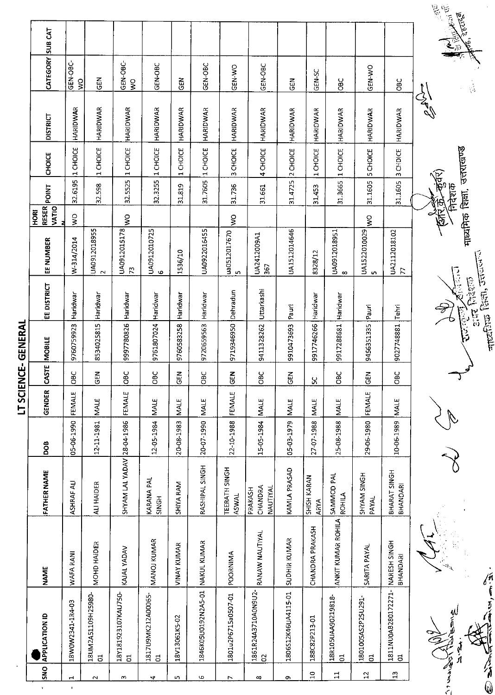|                                      |                                       |                          |                                |            | ļ             |             | ココココ                |                                 |                                                                                                                                                                                                                                                                                                                                                                                                                                                      |                                       |                                    |                 |               |                                       |                                   |
|--------------------------------------|---------------------------------------|--------------------------|--------------------------------|------------|---------------|-------------|---------------------|---------------------------------|------------------------------------------------------------------------------------------------------------------------------------------------------------------------------------------------------------------------------------------------------------------------------------------------------------------------------------------------------------------------------------------------------------------------------------------------------|---------------------------------------|------------------------------------|-----------------|---------------|---------------------------------------|-----------------------------------|
| SNO<br>$\mathbf{Y}$                  | <b>APPLICATION ID</b>                 | <b>NAME</b>              | <b>FATHER NAME</b>             | DOB        | <b>GENDER</b> | CASTE       | MOBILE              | EE DISTRICT                     | <b>BOH</b><br>z<br>EE NUMBER                                                                                                                                                                                                                                                                                                                                                                                                                         | <b>POINT</b><br><b>RESER</b><br>VATIO | CHOICE                             | <b>DISTRICT</b> |               | CATEGORY SUB CAT                      |                                   |
| $\mathbf{\vec{r}}$<br>$\blacksquare$ | 18W0W2341-1R4-03                      | WAFA RANI                | <b>ASHRAF ALI</b>              | 05-06-1990 | FEMALE        | <b>SEC</b>  | 9760759923          | Haridwar                        | $\frac{1}{2}$<br>W-314/2014                                                                                                                                                                                                                                                                                                                                                                                                                          | 32.6195                               | 1 CHOICE                           | HARIDWAR        |               | GEN-OBC-<br>$\mathsf{S}$              |                                   |
| $\sim$                               | 18UM2A51109H25980-<br>$\overline{5}$  | MOHD HAIDER              | ALI HAIDER                     | 12-11-1981 | MALE          | 도<br>9      | 8534025815          | Haridwar                        | $\begin{array}{c} \left  \text{UAO}312018955 \right  \\ \left  \text{2} \right  \end{array}$                                                                                                                                                                                                                                                                                                                                                         | 32.598                                | 1 CHOICE                           | HARIDWAR        |               | <b>GEN</b>                            |                                   |
| ω                                    | 18Y181923107KAU750-<br>$\overline{5}$ | KAJAL YADAV              | SHYAM LAL YADAV 28-04-1986     |            | FEMALE        | ios<br>C    | 9997780826 Haridwar |                                 | Ş<br>UA0912015178<br>73                                                                                                                                                                                                                                                                                                                                                                                                                              | 32.5525                               | 1 CHOICE                           | HARIDWAR        |               | GEN-OBC-<br>$\mathsf{S}^{\mathsf{O}}$ |                                   |
| 4                                    | 1817U9MK212A00065-<br>$\Xi$           | MANOJ KUMAR              | KARANA PAL<br>SINGH            | 12-05-1984 | <b>MALE</b>   | OBC         | 9761807024          | Haridwar                        | UA0912010725<br>$\mathbf \omega$                                                                                                                                                                                                                                                                                                                                                                                                                     | 32.3255                               | 1 CHOICE                           | <b>HARIDWAR</b> |               | GEN-OBC                               |                                   |
| S                                    | 18V13061K5-02                         | <b>VINAY KUMAR</b>       | SHIYA RAM                      | 20-08-1983 | MALE          | こ<br>1      | 9760583258          | Haridwar                        | 1536/10                                                                                                                                                                                                                                                                                                                                                                                                                                              | 31.819                                | CHOICE<br>$\blacksquare$           | HARIDWAR        |               | <b>ABO</b>                            |                                   |
| Φ                                    | 1846K05U0192N2A5-01                   | NAKUL KUMAR              | RASHIPAL SINGH                 | 20-07-1990 | <b>MALE</b>   | 9C          | 9720659563          | Haridwar                        | UA0922016455                                                                                                                                                                                                                                                                                                                                                                                                                                         | 31.7605                               | CHOICE<br>$\overline{\phantom{a}}$ | HARIDWAR        |               | GEN-OBC                               |                                   |
| $\overline{ }$                       | 1801u2P6715a0507-01                   | POORNIMA                 | TEERATH SINGH<br><b>ASWAL</b>  | 22-10-1988 | FEMALE        | <b>GEN</b>  | 9719346950          | Dehradun                        | Ş<br>$\begin{array}{c c} \multicolumn{1}{r}{\text{[1]}} \multicolumn{1}{r}{\text{[2]}} \multicolumn{1}{r}{\text{[3]}} \multicolumn{1}{r}{\text{[4]}} \multicolumn{1}{r}{\text{[5]}} \multicolumn{1}{r}{\text{[6]}} \multicolumn{1}{r}{\text{[6]}} \multicolumn{1}{r}{\text{[6]}} \multicolumn{1}{r}{\text{[6]}} \multicolumn{1}{r}{\text{[6]}} \multicolumn{1}{r}{\text{[6]}} \multicolumn{1}{r}{\text{[6]}} \multicolumn{1}{r}{\text{[6]}} \multic$ | 31.736                                | CHOICE<br>m                        | HARIDWAR        |               | GEN-WO                                |                                   |
| ∞                                    | 1861R24A3710A0N9U2-<br>S              | RANAW NAUTIYAL           | CHANDRA<br>NAUTIYAL<br>PRAKASH | 15-05-1984 | <b>MALE</b>   | ă           | 9411328262          | Uttarkashi                      | UA2412009A1<br>367                                                                                                                                                                                                                                                                                                                                                                                                                                   | 31.661                                | 4 CHOICE                           | HARIDWAR        |               | GEN-OBC                               |                                   |
| თ                                    | 1806S12K46UA4115-01                   | SUDHIR KUMAR             | KAMLA PRASAD                   | 05-03-1979 | <b>MALE</b>   | <b>GEN</b>  | 9910473693          | Pauri                           | UA1512014646                                                                                                                                                                                                                                                                                                                                                                                                                                         | 31.4725                               | 2 CHOICE                           | HARIDWAR        |               | <b>GEN</b>                            |                                   |
| $\Xi$                                | 188C82P213-01                         | CHANDRA PRAKASH          | SHISH KARAN<br><b>ARYA</b>     | 27-07-1988 | MALE          | ς,          | 9917746266          | Haridwar                        | 8328/12                                                                                                                                                                                                                                                                                                                                                                                                                                              | 31.453                                | 1 CHOICE                           | <b>HARIOWAR</b> |               | GEN-SC                                |                                   |
| $\Xi$                                | 18R105UAA90219818-<br>$\overline{c}$  | ANKIT KUMAR ROHILA       | SAMMOD PAL<br>ROHILA           | 25-08-1988 | <b>MALE</b>   | <b>DBC</b>  | 9917288681          | Haridwar                        | UA0912018951<br>$\infty$                                                                                                                                                                                                                                                                                                                                                                                                                             | 31.3665                               | 1 CHOICE                           | HARIDWAR        |               | <b>OBC</b>                            |                                   |
| $\mathfrak{a}$                       | 1801005AS2P25U291-<br>$\overline{5}$  | SARITA PAYAL             | SHYAM SINGH<br>PAYAL           | 29-06-1980 | FEMALE        | $rac{2}{5}$ | 9456351335          | Pauri                           | $\frac{1}{2}$<br>UA1522010029<br><b>S</b>                                                                                                                                                                                                                                                                                                                                                                                                            | 31.1605                               | 5 CHOICE                           | HARIDWAR        |               | GEN-WO                                |                                   |
| 13                                   | 1811NU0AB280172271-<br>$\overline{5}$ | NARESH SINGH<br>BHANDARI | BHARAT SINGH<br>BHANDARI       | 10-06-1989 | <b>MALE</b>   | ğ           | 9027748881          | Tehri                           | UA2112018102<br>$\overline{E}$                                                                                                                                                                                                                                                                                                                                                                                                                       | 31.1605                               | 3 CHDICE                           | HARIDWAR        |               | <b>OBC</b>                            |                                   |
|                                      | <b>CONTRACTOR</b>                     |                          |                                |            |               |             |                     | $\partial \overline{y}$         |                                                                                                                                                                                                                                                                                                                                                                                                                                                      |                                       |                                    |                 | $\frac{1}{2}$ |                                       | $\sum_{i=1}^n \tilde{Q}_i^i \, .$ |
|                                      | aul<br>T                              | $\Phi_{\rm V}$           |                                |            |               |             | $\frac{1}{2}$       | $\frac{1}{2}$ and $\frac{1}{2}$ |                                                                                                                                                                                                                                                                                                                                                                                                                                                      | निदेशक                                | मार्यामिक शिक्षा, उत्तराखण्ड       |                 |               | $\frac{1}{\sqrt{2}}$                  | 医夏夏<br><b>AME, JEETER</b>         |
| E Sinh                               | ふーちる                                  |                          |                                |            |               |             |                     | $\frac{1}{2}$                   |                                                                                                                                                                                                                                                                                                                                                                                                                                                      |                                       |                                    |                 |               |                                       |                                   |

J,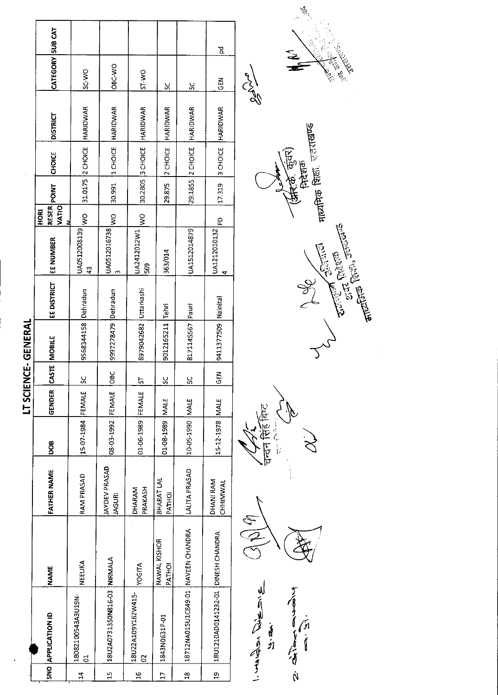| J  |  |
|----|--|
|    |  |
| L  |  |
| ÷. |  |
|    |  |
|    |  |
|    |  |
|    |  |
|    |  |
| ĩ  |  |
| ì  |  |
|    |  |
|    |  |
|    |  |
| ć  |  |
|    |  |
|    |  |
|    |  |

|                |                    |                                      |                             |                                       |                        |                                    | 밈                                  |                           |
|----------------|--------------------|--------------------------------------|-----------------------------|---------------------------------------|------------------------|------------------------------------|------------------------------------|---------------------------|
|                | CATEGORY SUB CAT   | SC-WO                                | OBC-WO                      | <b>DW-LS</b>                          | š                      | $\frac{5}{5}$                      | <b>GEN</b>                         | <b>Chypolis</b>           |
|                | <b>DISTRICT</b>    |                                      |                             |                                       | HARIDWAR               | HARIDWAR                           |                                    |                           |
|                | <b>CHOICE</b>      | 31.0175 2 CHOICE HARIDWAR            | 1 CHOICE HARIDWAR           | 30.2805 3 CHOICE HARIDWAR             | 2 CHOICE               | 29.1855 2 CHOICE                   | 3 CHOICE HARIDWAR                  |                           |
|                | <b>RESER</b> POINT |                                      | 30.991                      |                                       | 29.875                 |                                    | 17.319                             |                           |
|                | VATIO<br>HORI      | $\frac{1}{2}$                        | $\frac{1}{2}$               | $\frac{1}{2}$                         |                        |                                    | $\frac{1}{2}$                      |                           |
|                | EE NUMBER          | UA0512008139<br>$\frac{3}{4}$        | UA0512016738<br>ς           | UA2412012W1<br>569                    | 363/014                | UA1512014879                       | UA1212010132<br>4                  |                           |
|                | <b>EE DISTRICT</b> |                                      |                             |                                       |                        |                                    |                                    |                           |
| コイピロアニリワ・コンアニコ | CASTE MOBILE       | 9568344158 Dehradun                  | 9997278479 Dehradun         | 8979042682 Uttarkashi                 | 9012165211 Tehri       | 8171145567 Pauri                   | 9411377509 Nainital                |                           |
| スココ            |                    | <u>ys</u>                            | $\frac{1}{2}$               | 5                                     | <u>ي</u>               | $\frac{5}{5}$                      | <b>GEN</b>                         |                           |
|                | GENDER             |                                      |                             |                                       |                        |                                    |                                    |                           |
|                | <b>BOO</b>         | 15-07-1984 FEMALE                    | 08-03-1992 FEMALE           | 01-06-1989 FEMALE                     | 01-08-1989 MALE        | 10-05-1990   MALE                  | 15-12-1978 MALE                    | स्मिन्न बिग्ट<br>ה<br>הוא |
|                | FATHER NAME        | RAM PRASAD                           | JAYDEV PRASAD<br>JAGURI     | <b>DHARAM</b><br>PRAKASH              | BHARAT LAL<br>PATHOI   | <b>LALITA PRASAD</b>               | DHANI RAM<br>CHHIMWAL              |                           |
|                | <b>NAME</b>        | NEELIKA                              |                             | <b>YOGITA</b>                         | NAWAL KISHOR<br>PATHOI |                                    |                                    | $\frac{2}{2}$             |
|                | SNO APPLICATION ID | 18082100543A3U19N-<br>$\overline{5}$ | 18U2A0731350N816-03 NIRMALA | 18U22A109Y162W415-<br>$\tilde{\circ}$ | 1843N0631P-01          | 18712NA015U1C849-01 NAVEEN CHANDRA | 18U1210AD0141232-01 DINESH CHANDRA | Alinda Tapes              |
|                |                    | $\frac{1}{11}$                       | $\frac{1}{2}$               | $\frac{16}{1}$                        | $\overline{17}$        | $\frac{8}{16}$                     | $\frac{9}{10}$                     |                           |



 $\frac{1}{6}$ 

**Transferred in France** 

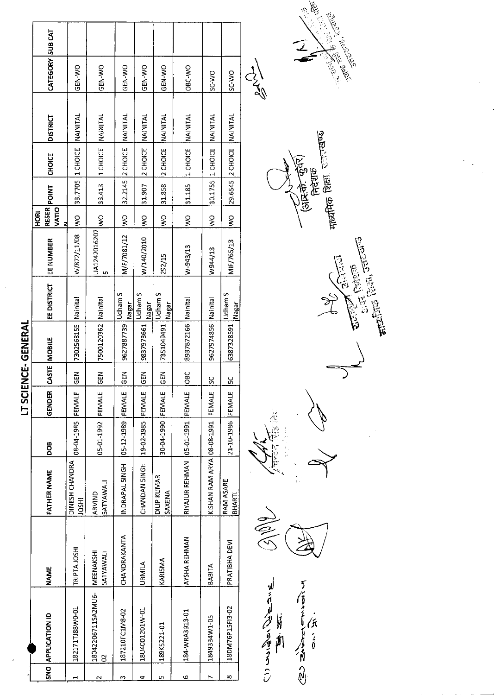$\ddot{\phantom{0}}$ 

| ICN IN TH<br>ית לתובונים<br>ני | <b>DISTRICT</b><br>CHOICE<br>RESER POINT<br>VATIO<br>HORI<br>EE NUMBER<br>EE DISTRICT<br>CASTE MOBILE<br><b>GENDER</b><br>80a | <b>NAINITAL</b><br>33.7705 1 CHOICE<br>$\frac{8}{2}$<br>W/872/11/08<br>Nainital<br>7302568155<br>$rac{2}{5}$<br>FEMALE<br>08-04-1985 | 1 CHOICE NAINITAL<br>33.413<br>$\frac{8}{2}$<br>JA1242016207<br>G<br>7500120362 Nainital<br>$rac{1}{5}$<br>05-01-1992 FEMALE | <b>NAINITAL</b><br>32.2145 2 CHOICE<br>$\geq$<br>M/F/7081/12<br><b>Udham S</b><br><b>Nagar</b><br>9627887739<br>GEN<br>05-12-1989 FEMALE | <b>INAINITAL</b><br>2 CHOICE<br>31.907<br>$\frac{8}{5}$<br>W/140/2010<br>Jdham S<br>Nagar<br>9837973661<br>$\frac{2}{5}$<br>FEMALE<br>19-02-1985 | <b>INAINITAL</b><br>2 CHOICE<br>31858<br>Ş<br>292/15<br>Udham S<br>Nagar<br>7351049491<br>$rac{5}{6}$<br>30-04-1990  FEMALE | 1 CHOICE NAINITAL<br>31.185<br>ş<br>W-943/13<br>8937872166 Nainital<br>DBC<br>RIYAJUR REHMAN 05-01-1991 FEMALE | NAINITAL<br>30.1755 1 CHOICE<br>$\frac{1}{2}$<br>W944/13<br>Nainital<br>9627974856<br>S<br>FEMALE | <b>NAINITAL</b><br>29.6545 2 CHOICE<br>$\frac{1}{2}$<br>MIF/765/13<br>Udham S<br>Nagar<br>6387328591<br>Χ<br>21-10-1986 FEMALE | $\begin{pmatrix} 1 \\ 2 \\ 3 \\ 4 \end{pmatrix}$ |
|--------------------------------|-------------------------------------------------------------------------------------------------------------------------------|--------------------------------------------------------------------------------------------------------------------------------------|------------------------------------------------------------------------------------------------------------------------------|------------------------------------------------------------------------------------------------------------------------------------------|--------------------------------------------------------------------------------------------------------------------------------------------------|-----------------------------------------------------------------------------------------------------------------------------|----------------------------------------------------------------------------------------------------------------|---------------------------------------------------------------------------------------------------|--------------------------------------------------------------------------------------------------------------------------------|--------------------------------------------------|
|                                |                                                                                                                               |                                                                                                                                      |                                                                                                                              |                                                                                                                                          |                                                                                                                                                  |                                                                                                                             |                                                                                                                |                                                                                                   |                                                                                                                                |                                                  |
|                                |                                                                                                                               |                                                                                                                                      |                                                                                                                              |                                                                                                                                          |                                                                                                                                                  |                                                                                                                             |                                                                                                                |                                                                                                   |                                                                                                                                |                                                  |
|                                |                                                                                                                               |                                                                                                                                      |                                                                                                                              |                                                                                                                                          |                                                                                                                                                  |                                                                                                                             |                                                                                                                |                                                                                                   |                                                                                                                                |                                                  |
|                                |                                                                                                                               |                                                                                                                                      |                                                                                                                              |                                                                                                                                          |                                                                                                                                                  |                                                                                                                             |                                                                                                                |                                                                                                   |                                                                                                                                |                                                  |
|                                |                                                                                                                               |                                                                                                                                      |                                                                                                                              |                                                                                                                                          |                                                                                                                                                  |                                                                                                                             |                                                                                                                |                                                                                                   |                                                                                                                                |                                                  |
|                                |                                                                                                                               |                                                                                                                                      |                                                                                                                              |                                                                                                                                          |                                                                                                                                                  |                                                                                                                             |                                                                                                                |                                                                                                   |                                                                                                                                |                                                  |
|                                |                                                                                                                               |                                                                                                                                      |                                                                                                                              |                                                                                                                                          |                                                                                                                                                  |                                                                                                                             |                                                                                                                |                                                                                                   |                                                                                                                                |                                                  |
|                                | <b>FATHER NAME</b>                                                                                                            | DINESH CHANDRA<br><b>HSOL</b>                                                                                                        | <b>SATYAWALI</b><br>ARVIND                                                                                                   | NDRAPAL SINGH                                                                                                                            | HONG NAONAHO                                                                                                                                     | DILIP KUMAR<br>SAXENA                                                                                                       |                                                                                                                | KISHAN RAM ARYA 08-08-1991                                                                        | RAM ASARE<br>BHARTI                                                                                                            |                                                  |
|                                | <b>NAME</b>                                                                                                                   | TRIPTA JOSHI                                                                                                                         | MEENAKSHI<br><b>SATYAWALI</b>                                                                                                | CHANDRAKANTA                                                                                                                             | URMILA                                                                                                                                           | KARISMA                                                                                                                     | AYSHA REHMAN                                                                                                   | <b>BABITA</b>                                                                                     | PRATIBIHA DEVI                                                                                                                 | SIPP                                             |
|                                | SNO APPLICATION ID                                                                                                            | 182171TJ88W0-01                                                                                                                      | 18042206711SA2MU6-<br>$\mathbf{S}$                                                                                           | 187210FC1M8-02                                                                                                                           | 18U4001201W-01                                                                                                                                   | 189K5221-01                                                                                                                 | 184-WRA3913-01                                                                                                 | 18493B4W1-05                                                                                      | 18DM76P15F13-02                                                                                                                |                                                  |
|                                |                                                                                                                               |                                                                                                                                      | $\scriptstyle\sim$                                                                                                           | m                                                                                                                                        | 4                                                                                                                                                | ഗ                                                                                                                           | ڡ                                                                                                              |                                                                                                   | 8                                                                                                                              |                                                  |







Je<br>L

**116 前** オカナ



A A A A A A 了信言了一点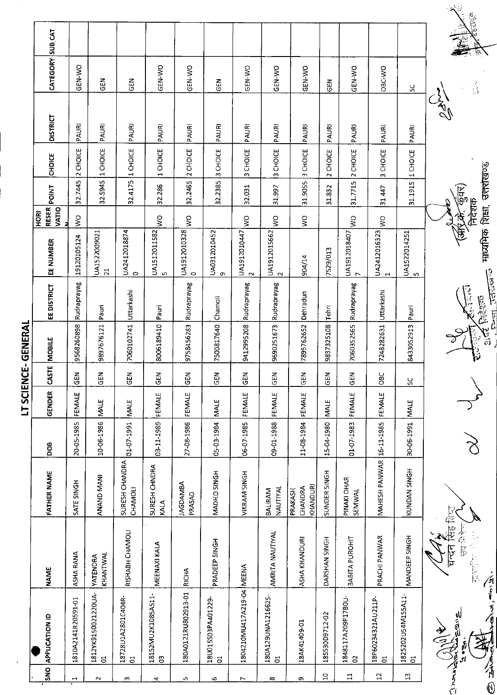| <b>ONS</b>     | <b>APPLICATION ID</b>                 | <b>NAME</b>                 | <b>FATHER NAME</b>             | DOB        | <b>GENDER</b> | <b>CASTE</b>  | MOBILE                | EE DISTRICT   | EE NUMBER                       | <b>RESER</b><br>VATIO<br><b>ROH</b> | <b>POINT</b> | CHOICE                   | <b>DISTRICT</b> | CATEGORY SUB CAT |  |
|----------------|---------------------------------------|-----------------------------|--------------------------------|------------|---------------|---------------|-----------------------|---------------|---------------------------------|-------------------------------------|--------------|--------------------------|-----------------|------------------|--|
| $\mathbf{H}$   | 1810A2141R20591-01                    | ASHA RANA                   | SATE SINGH                     | 20-05-1985 | FEMALE        | GEN           | 9568260898            | Rudraprayag   | 19120105124                     | $\frac{1}{2}$                       | 32.7445      | 2 CHOICE                 | PAURI           | GEN-WO           |  |
| $\sim$         | 1812YK9150021220UA-<br>$\overline{5}$ | KHANTWAL<br><b>YATENDRA</b> | ANAND MANI                     | 10-06-1986 | <b>MALE</b>   | <b>GEN</b>    | 9897676121            | Pauri         | UA1522009021<br>$\overline{21}$ |                                     | 32.5945      | 1 CHOICE                 | PAURI           | <b>GEN</b>       |  |
| ω              | 18728U1A2801C404R-<br>$\overline{5}$  | RISHABH CHAMOLI             | SURESH CHANDRA<br>CHAMOLI      | 01-07-1991 | MALE          | <b>GEN</b>    | 7060102741 Uttarkashi |               | UA2412018874<br>$\circ$         |                                     | 32.4175      | 1 CHOICE                 | PAURI           | <b>GEN</b>       |  |
| 4              | 18152MU2K1085A511-<br>$\mathbb{S}$    | <b>MEENAXI KALA</b>         | SURESH CHNDRA<br>KALA          | 03-11-1989 | FEMALE        | <b>GEN</b>    | 8006189410            | Pauri         | UA1512011582<br>L.              | $\frac{1}{2}$                       | 32.286       | CHOICE<br>$\blacksquare$ | PAURI           | GEN-WO           |  |
| LO.            | 180A0121RU802913-01                   | <b>RICHA</b>                | <b>JAGDAMBA</b><br>PRASAD      | 27-08-1986 | FEMALE        | <b>GEN</b>    | 9758456283            | Rudraprayag   | UA1912010328<br>$\circ$         | $\frac{1}{3}$                       | 32.2465      | 2 CHOICE                 | PAURI           | GEN-VO           |  |
| G              | 18U015S03PA401229-<br>$\overline{5}$  | PRADEEP SINGH               | MADHO SINGH                    | 05-03-1984 | <b>MALE</b>   | 忌             | 7500817640 Chamoli    |               | UA0312010452<br>$\sigma$        |                                     | 32.2385      | 3 CHOICE                 | PAURI           | <b>GEN</b>       |  |
| $\overline{ }$ | 1804210MU417A219-04 MEENA             |                             | VIKRAM SINGH                   | 06-07-1985 | FEMALE        | $rac{1}{2}$   | 9412995208            | Rudraprayag   | UA1912010447<br>$\sim$          | $\frac{1}{2}$                       | 32.031       | CHOICE<br>w              | PAURI           | GEN-WO           |  |
| ∞              | 180A129UNA121662S-<br>$\overline{5}$  | AMRITA NAUTIYAL             | NAUTIYAL<br>BALIRAM            | 09-01-1988 | FEMALE        | $\frac{2}{5}$ | 9690251673            | Rudraprayag   | UA1912015662<br>$\sim$          | Ş                                   | 31.997       | 3 CHOICE                 | PAURI           | GEN-WO           |  |
| c              | 18AK41409-01                          | ASHA KHANDURI               | KHANDURI<br>CHANDRA<br>PRAKASH | 11-08-1984 | FEMALE        | 집의            | 7895762652            | Dehradun      | 904/14                          | $\geq$                              | 31.9055      | 3 CHOICE                 | PAURI           | GEN-WO           |  |
| $\overline{a}$ | 185530D9712-02                        | DARSHAN SINGH               | SUNDER SINGH                   | 15-04-1980 | <b>MALE</b>   | 도<br>이        | 9837325108            | Tehri         | 7529/013                        |                                     | 31.832       | 2 CHOICE                 | PAURI           | GEN              |  |
| $\Xi$          | 1848117A209P17B0U-<br>$\approx$       | BABITA PUROHIT              | PINAKI DHAR<br><b>SEMWAL</b>   | 01-07-1983 | FEMALE        | <b>GEN</b>    | 7060352565            | Rudraprayag   | UA1912018407<br>$\overline{ }$  | $\frac{1}{2}$                       | 317715       | 2 CHOICE                 | PAURI           | GEN-WO           |  |
| $\mathbf{12}$  | 18P60234321AU211P-<br>$\overline{5}$  | PRACHI PANWAR               | MAHESH PANWAR 16-11-1985       |            | FEMALE        | <b>OBC</b>    | 7248282531            | Uttarkashi    | UA2412016323<br>$\mathbf{H}$    | Ş                                   | 31 447       | 3 CHOICE                 | PAURI           | OBC-WO           |  |
| $\mathbb{Z}$   | 1825202U54M155A11-<br>៊               | MANDEEP SINGH               | KUNDAN SINGH                   | 30-06-1991 | MALE          | X             | 8433052913            | Pauri         | UA1522014251<br>S               |                                     | 31.1915      | 1 CHOICE                 | PAURI           | X                |  |
|                | Allegance                             | घन्दन                       |                                |            |               |               |                       |               |                                 |                                     |              |                          | المحمد<br>حرا   |                  |  |
|                | اله<br>آي                             | 春在居<br>上午日本                 |                                |            |               |               | いっ                    | Control Co    |                                 | निदेशक<br>(发传)                      | क्षिर        |                          |                 | 区<br>ر<br>د ا    |  |
| rt China       | 有了了                                   |                             |                                |            |               |               | ម្ព<br>គ              | $\frac{1}{2}$ | माध्यमिक शिक्षा, उत्तराखण्ड     |                                     |              |                          |                 |                  |  |

 $\ddot{\cdot}$ 

अस्ट प्राप्तव्यान्तुन्तु मार्ध्यामकं शिक्षा, उत्तरविष्ठ<br>संस्कृतना उत्तरप्राप्त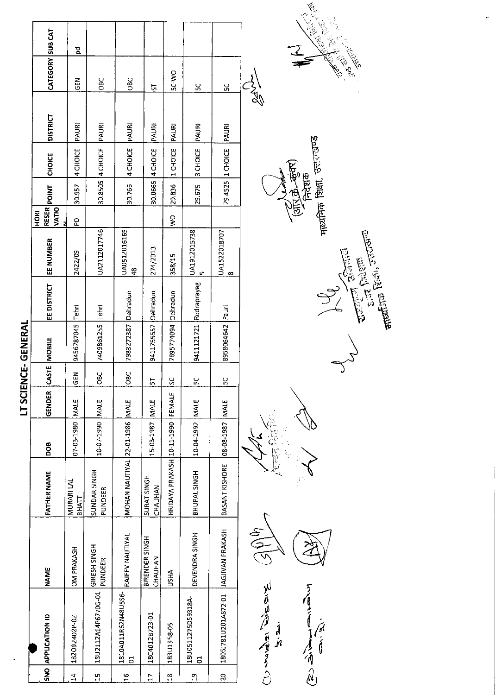|                     |                                          |                           |                                   |                         | LT SCIE |               | ENCE-GENERAL           |                    |                          |                                           |                  |               |                 |                  |   |  |
|---------------------|------------------------------------------|---------------------------|-----------------------------------|-------------------------|---------|---------------|------------------------|--------------------|--------------------------|-------------------------------------------|------------------|---------------|-----------------|------------------|---|--|
|                     | NO APPLICATION ID                        | <b>NAME</b>               | <b>FATHER NAME</b>                | <b>BOO</b>              | GENDER  |               | CASTE MOBILE           | <b>EE DISTRICT</b> | EE NUMBER                | <b>RESER</b> POINT<br>VATIO<br><b>ROH</b> |                  | <b>CHOICE</b> | <b>DISTRICT</b> | CATEGORY SUB CAT |   |  |
| 4                   | 182092402P-02                            | <b>OM PRAKASH</b>         | MURARI LAL<br>ВНАТТ               | 07-03-1980 MALE         |         | $rac{2}{3}$   | 9456787045             | Tehri              | 2422/09                  | 5d                                        | 30.957           | 4 CHOICE      | PAURI           | 준<br>55          | g |  |
| 5                   | 18U2112A14P6770G-01                      | GIRESH SINGH<br>PUNDEER   | SUNDAR 5INGH<br>PUNDEER           | 10-07-1990 MALE         |         | ÖВ            | 7409861255 Tehri       |                    | UA2112017746             |                                           | 30.8505 4 CHOICE |               | PAURI           | <b>DBC</b>       |   |  |
| G                   | 1810A011R62N48U5S6- RAJEEV NAUTIYAL<br>ដ |                           | MOHAN NAUTIYAL 22-01-1986 MALE    |                         |         | <b>DBC</b>    | 7983272387 Dehradun    |                    | UA0512016165<br>48       |                                           | 30.766           | 4 CHOICE      | PAURI           | OBC              |   |  |
| r.                  | 18C4012B723-01                           | BIRENDER SINGH<br>CHAUHAN | SURAT SINGH<br>CHAUHAN            | 15-03-1987   MALE       |         | 5             | 9411755557 Dehradun    |                    | 274/2013                 |                                           | 30.0665 4 CHOICE |               | PAURI           | 5                |   |  |
| $\infty$            | 183U1558-05                              | <b>USHA</b>               | HRIDAYA PRAKASH 10-11-1990 FEMALE |                         |         | <u>u</u>      | 7895774094 Dehradun    |                    | 358/15                   | $\frac{1}{2}$                             | 29,836           | 1 CHOICE      | PAURI           | <b>OW-JS</b>     |   |  |
| Ō,                  | 18U0511275D59318A-<br>5                  | DEVENDRA SINGH            | BHUPAL SINGH                      | 10-04-1992 MALE         |         | <u>ىي</u>     | 9411121721 Rudraprayag |                    | UA1912015738<br>Lŋ       |                                           | 29.675           | 3 CHOICE      | PAURI           | ပ္က              |   |  |
| $\ddot{\mathbf{Q}}$ | 1805J781U201A872-01  JAGJIVAN PRAKASH    |                           | BASANT KISHORE                    | <b>JAM   C85-108-80</b> |         | $\frac{5}{5}$ | 8958064642 Pauri       |                    | UA1522018707<br>$\infty$ |                                           | 29.4525 1 CHOICE |               | PAURI           | ς                |   |  |
|                     | Aris Aris Rights C                       | $\frac{1}{2}$             |                                   |                         |         |               |                        |                    |                          |                                           |                  |               |                 | $\frac{1}{2}$    |   |  |

 $\ddot{\phantom{0}}$ 

We Richard Reich  $\overrightarrow{a}$ Central Canadian







**PARTIES CONTROLLED Change**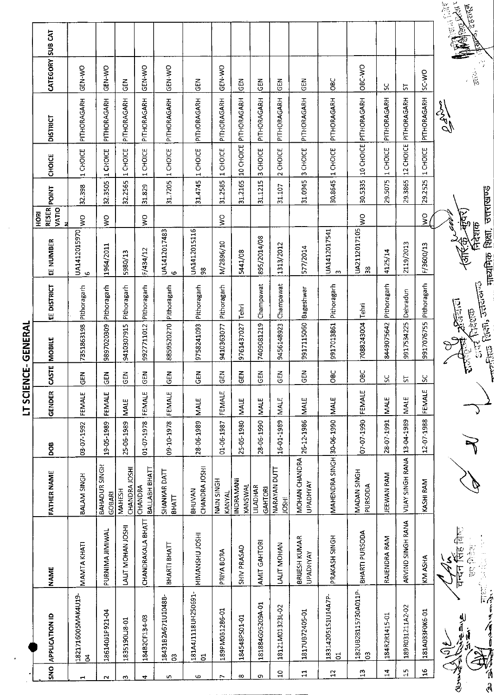| 5<br>1<br>IΕΡΔ<br>î |  |
|---------------------|--|
| ה<br>ש<br>İ<br>ī    |  |
| こくことり<br>ī<br>j     |  |
| י<br>י              |  |
|                     |  |

| $rac{1}{2}$              | <b>APPLICATION ID</b>                                  | <b>NAME</b>                      | FATHER NAME                      | DOB             | GENDER      | $ {\rm const} $          | MOBILE                                                                                 | EE DISTRICT | RESER<br>VATIO<br><b>ROH</b><br>EE NUMBER             | POINT                               | CHOICE          | <b>DISTRICT</b>       | CATEGORY SUB CAT |                                               |
|--------------------------|--------------------------------------------------------|----------------------------------|----------------------------------|-----------------|-------------|--------------------------|----------------------------------------------------------------------------------------|-------------|-------------------------------------------------------|-------------------------------------|-----------------|-----------------------|------------------|-----------------------------------------------|
| 1                        | 1821716005MAK4U19<br>3                                 | <b>MAMTA KHATI</b>               | <b>BALAM SINGH</b>               | 03-07-1992      | FEMALE      | ĞEN                      | 7351863198                                                                             | Pithoragarh | Ş<br>UA1412015970<br>$\circ$                          | 32.398                              | 1 CHOICE        | PITHORAGARH           | GEN-WO           |                                               |
| $\sim$                   | 186140J1P921-04                                        | PURNIMA JIMIWAL                  | BAHADUR SINGH<br><b>GOBARI</b>   | 19-05-1989      | FEMALE      | $\frac{2}{5}$            | 9897020309                                                                             | Pithoragarh | Ş<br>1964/2011                                        | 32.3505                             | 1 CHOICE        | PITHORAGARH           | <b>OK-Y-NB</b>   |                                               |
| ω                        | 183519018-01                                           | LALIT MOHAN JOSHI                | CHANDRA JOSHI<br><b>MAHESH</b>   | 25-06-1989      | MALE        | <b>GEN</b>               | 9410307915                                                                             | Pithoragarh | 5980/13                                               | 32.2565                             | 1 CHOICE        | PITHORAGARH           | $\tilde{e}$      |                                               |
| 4                        | 184B2CF134-03                                          | CHANDRAKALA BHATT                | BALLABH BHATT<br>CHANDRA         | 01-07-1978      | FEMALE      | <b>GEN</b>               | 9927711012                                                                             | Pithoragarh | Š<br>F/434/12                                         | 31.829                              | 1 CHOICE        | PITHORAGARH           | GEN-WO           |                                               |
| 5                        | 18431B2A671U1048B<br>පි                                | BHARTI BHATT                     | SHANKAR DATT<br>ВНАП             | 09-10-1978      | FEMALE      | <b>GEN</b>               | 8859520270 Pithoragarh                                                                 |             | UA1412017483<br>$\circ$                               | 31.7205                             | 1 CHOICE        | PITHORAGARH           | <b>ON-YED</b>    |                                               |
| G                        | 181A4J1118UH250691-<br>$\overline{5}$                  | HIMANSHU JOSHI                   | CHANDRA JOSHI<br>BHUVAN          | 28-06-1989      | <b>MALE</b> | Ğ                        | 9758241093                                                                             | Pithoragarh | UA1412015116<br>$\boldsymbol{\mathcal{S}}$            | 31.4745                             | 1 CHOICE        | PITHORAGARH           | <b>GEN</b>       |                                               |
| $\overline{\phantom{a}}$ | 189PM0B1286-01                                         | PRIYA BORA                       | NAIN SINGH<br>KANYAL             | 01-06-1987      | FEMALE      | 즎                        | 9410363077                                                                             | Pithoragarh | Š<br>N/2896/10                                        | 31.2585                             | 1 CHOICE        | PITHORAGARH           | <b>ORY-NED</b>   |                                               |
| $\infty$                 | 184548PS01-01                                          | SHIV PRASAD                      | INDRAMANI<br>KANSWAL             | 25-05-1980      | <b>NALE</b> | 즎                        | 9761437027                                                                             | Tehri       | 5441/08                                               | 31.2165                             | 10 CHOICE       | PITHORAGARH           | $rac{2}{5}$      |                                               |
| თ                        | 181884G05209A-01                                       | AMIT GAHTORI                     | <b>LILADHAR</b><br>GAHTORI       | 28-06-1990      | <b>MALE</b> | 군<br>인                   | 7409081219                                                                             | Champawat   | 895/2014/08                                           | 31.1215                             | 3 CHOICE        | PITHORAGARH           | $rac{1}{2}$      |                                               |
| $\Xi$                    | 18121M01323L-02                                        | LALIT MOHAN                      | NARAYAN DUTT<br><b>JOSHI</b>     | 16-01-1989      | MALE        | 륹                        | 9456148923                                                                             | Champawat   | 1313/2012                                             | $\sim$<br>31.107                    | CHOICE          | PITHORAGARH           | <b>GEN</b>       |                                               |
| $\mathbf{1}$             | 1817UB72405-01                                         | BRIJESH KUMAR<br><b>UPADHYAY</b> | MOHAN CHANDRA<br><b>UPADHYAY</b> | 26-12-1986 MALE |             | EN<br>GEN                | 9917115060 Bageshwar                                                                   |             | 577/2014                                              | 31.0945                             | 3 CHOICE        | PITHORAGARH           | <b>GEN</b>       |                                               |
| 12                       | 183142051S1U14A7P-<br>$\overline{5}$                   | PRAKASH SINGH                    | MAHENDRA SINGH                   | 30-06-1990      | MALE        | ă                        | 9917013861                                                                             | Pithoragarh | UA1412017541<br><b>CO</b>                             | $\overline{\phantom{0}}$<br>30.8645 | CHOICE          | PITHORAGARH           | <b>SEC</b>       |                                               |
| $\mathbf{L}^2$           | 182UB28115730A011P-<br>S                               | BHARTI PURSODA                   | MADAN SINGH<br><b>PURSODA</b>    | 07-07-1990      | FEMALE      | $rac{C}{C}$              | 7088243004                                                                             | Tehri       | Š<br>UA2112017105<br>$\frac{8}{3}$                    | 30.5335                             |                 | 10 CHOICE PITHORAGARH | OBC-WO           |                                               |
| $\mathbf{z}$             | 184R2R1415-01                                          | RAJENDRA RAM                     | <b>JEEWAN RAM</b>                | 28-07-1991      | <b>MALE</b> | š                        | 8449075642                                                                             | Pithoragarh | 4125/14                                               | 29.5075                             | 1 CHOICE        | PITHORAGARH           | Y,               |                                               |
| $\frac{1}{1}$            | 189R031211A2-02                                        | ARVIND SINGH RANA                | VIJAY SINGH RANA                 | 13-04-1989      | <b>NALE</b> | 5                        | 9917534225                                                                             | Dehradun    | 2119/2013                                             | 29.3865                             |                 | 12 CHOICE PITHORAGARH | 57               |                                               |
| $\mathbf{a}$             | 181A033F0K6-01                                         | KM ASHA                          | KASHI RAM                        | 12-07-1988      | FEMALE      | $\overline{\mathcal{S}}$ | 9917076755                                                                             | Pithoragarh | $\gtrapprox$<br>F/3600/13                             | 29.2525                             | <b>I CHOICE</b> | PITHORAGARH           | SC-WO            |                                               |
| ハーマ<br>A)<br>A           | ्<br>निर्देश<br>बै<br>یل آه<br>به<br>グイリ<br><u>ale</u> | चन्दन सिंह बिष्ट<br>高在书          |                                  |                 |             | r<br>F                   | <b>Control Purish Jerrico</b><br><b>CONTROPORTION</b><br>$\mathbb{R}$ and $\mathbb{R}$ |             | माध्यमिक शिक्षा, उत्तराखण्ड<br>कृतर<br>नेदर्शक<br>226 |                                     |                 | CRAND                 | .<br>इल          | <b>Manufair</b><br>2017年1月<br>प्राप्ट, दहरादल |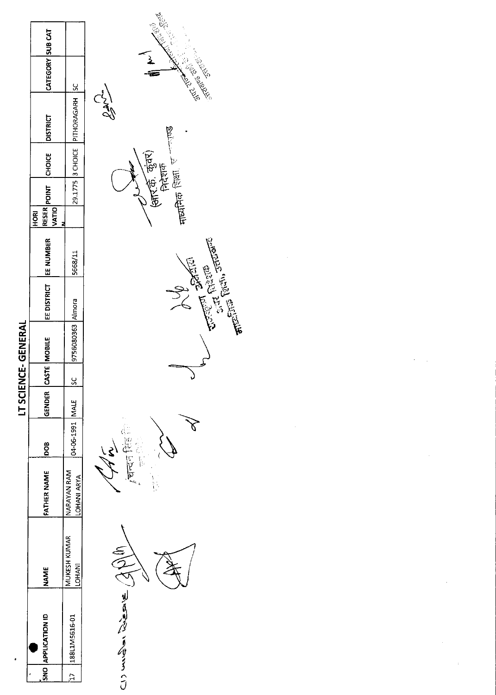|                |                    |                              |                            |                 |        |         | LT SCIENCE-GENERAL |                         |         |            |                             |                                 |                  |  |
|----------------|--------------------|------------------------------|----------------------------|-----------------|--------|---------|--------------------|-------------------------|---------|------------|-----------------------------|---------------------------------|------------------|--|
|                | SNO APPLICATION ID | <b>NAME</b>                  | FATHER NAME                | <b>BOOI</b>     | GENDER |         | CASTE MOBILE       | EE DISTRICT   EE NUMBER |         | <b>ROH</b> | RESER POINT CHOICE DISTRICT |                                 | CATEGORY SUB CAT |  |
| $\overline{E}$ | 188L1M5616-01      | MUKESH KUMAR<br><b>DHANI</b> | NARAYAN RAM<br>LOHANI ARYA | 04-06-1991 MALE |        | ្ល<br>ភ | 9756080363 Almora  |                         | 5668/11 |            |                             | 29.1775 3 CHOICE PITHORAGARH SC |                  |  |
|                |                    |                              |                            | $\sqrt{ }$      |        |         |                    |                         |         |            |                             | Clado                           |                  |  |





All Parties of the Parties of the Parties of the Parties of the Parties of the Parties of the Parties of the Parties of the Parties of the Parties of the Parties of the Parties of the Parties of the Parties of the Parties

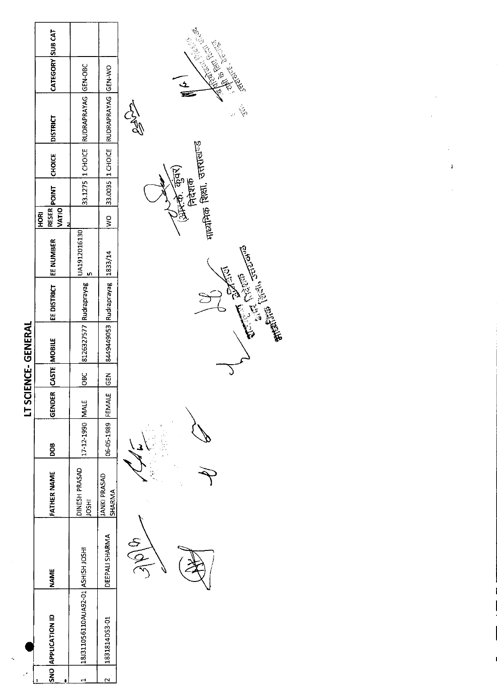|                                   |                 |                               |                   |        |            | LT SCIENCE-GENERAL             |                         |              |                             |                           |                                        |                  |  |
|-----------------------------------|-----------------|-------------------------------|-------------------|--------|------------|--------------------------------|-------------------------|--------------|-----------------------------|---------------------------|----------------------------------------|------------------|--|
| SNO APPLICATION ID                | NAME            | <b>FATHER NAME</b>            | <b>BOB</b>        | GENDER |            | CASTE MOBILE                   | EE DISTRICT   EE NUMBER |              | <b>VATIO</b><br><b>ROKI</b> | <b>RESER POINT</b> CHOICE | <b>DISTRICT</b>                        | CATEGORY SUB CAT |  |
| 181311056110AUA92-01 ASHISH JOSHI |                 | DINESH PRASAD<br><b>IRSOI</b> | 17-12-1990 MALE   |        | <b>DBC</b> | 8126327577 Rudraprayag         |                         | UA1912016130 |                             |                           | 33.1275 1 CHOICE RUDRAPRAYAG GEN-OBC   |                  |  |
| 1831814DS3-01                     | DEEPALI SHARMA  | <b>JANKI PRASAD</b><br>SHARMA | 06-05-1989 FEMALE |        | <b>GEN</b> | 8449449053 Rudrapravag 1833/14 |                         |              |                             |                           | WO 33.0035 1 CHOICE RUDRAPRAYAG GEN-WO |                  |  |
|                                   | $\partial \phi$ |                               |                   |        |            |                                |                         |              |                             |                           | 5579                                   |                  |  |

 $\sim$ 

 $\hat{\mathbf{z}}$ 



- (प्रेम्प्ले, कुंवर)<br>निरंशक<br>नायमिक शिक्षा, उत्तराखण्ड 13.13 AU CARACTER SERVER

J

 $\mathbf{i}$ 

**Communication Communication** 

 $\frac{1}{\mathbf{z}}$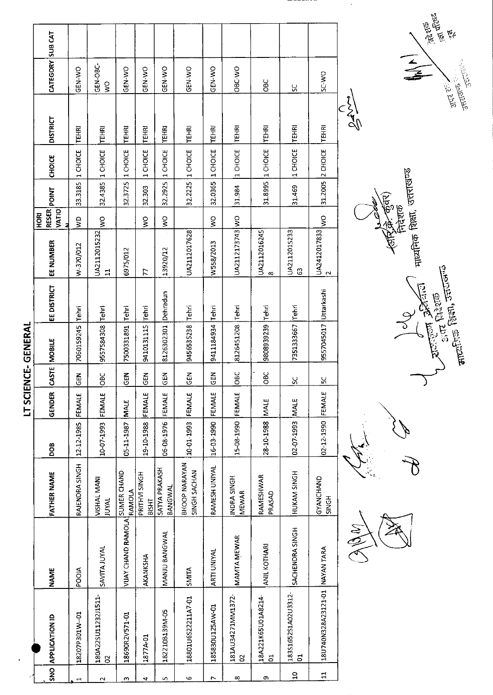$\ddot{\phantom{0}}$ 

|       | SNO APPLICATION ID             | <b>NAME</b>               | <b>FATHER NAME</b>            | <b>SOC</b>        | GENDER      | CASTE MOBILE |                       | EE DISTRICT  | EE NUMBER         | <b>RESER</b><br><b>VATIO</b><br><b>HORI</b> | <b>TVIIO4</b>    | CHOICE                 | <b>DISTRICT</b>                 | CATEGORY SUB CAT |  |
|-------|--------------------------------|---------------------------|-------------------------------|-------------------|-------------|--------------|-----------------------|--------------|-------------------|---------------------------------------------|------------------|------------------------|---------------------------------|------------------|--|
| ᆏ     | 18207P301W-01                  | <b>POOIA</b>              | RAJENDRA SINGH                | 12-12-1985        | FEMALE      | M3           | 7060159245            | <b>Tehri</b> | W-370/012         | ξ                                           | 33.3185          | 1 CHOICE               | <b>TEHRI</b>                    | GEN-WO           |  |
| N     | 180A22SU11232J1511-<br>5       | <b>SAVITA JUYAL</b>       | VISHAL MANI<br><b>JUYAL</b>   | 10-07-1993        | FEMALE      | <b>SC</b>    | 9557584308 Tehri      |              | UA2112015232<br>급 | š                                           | 32.4385          | 1 CHOICE               | TEHRI                           | GEN-OBC-<br>Ş    |  |
| m     | 18690R2V571-01                 | <b>VIJAY CHAND RAMOLA</b> | SUMER CHAND<br><b>RAMOLA</b>  | 05-11-1987        | MALE        | <b>SEN</b>   | 7500331891            | Tehri        | 6975/012          |                                             | 32.3725          | 1 CHOICE               | <b>TEHRI</b>                    | GEN-WO           |  |
| 4     | 1877A-01                       | AKANKSHA                  | PRITHVI SINGH<br><b>BISHT</b> | 19-10-1988        | FEMALE      | 도<br>이로      | 9410131115            | Tehri        | 77                | Š                                           | 32.303           | CHOICE<br>$\mathbf{r}$ | <b>TEHRI</b>                    | GEN-WO           |  |
| r.    | 182210B139M-05                 | MANJU BANGWAL             | SATYA PRAKASH<br>BANGWAL      | 06-08-1976        | FEMALE      | 듡            | 8126302301            | Dehradun     | 13920/12          | $\frac{1}{2}$                               | 32.2925          | 1 CHOICE               | <b>TEHRI</b>                    | GEN-WO           |  |
| G     | 18801U6S22211A7-01             | SMITA                     | BHOOP NARAYAN<br>SINGH SACHAN | 10-01-1993 FEMALE |             | <b>GEN</b>   | 9456535238            | Tehri        | UA2112017628      |                                             | 32.2225 1 CHOICE |                        | <b>TEHRI</b>                    | GEN-WO           |  |
| r     | 185830U125AW-01                | <b>ARTI UNIYAL</b>        | RAMESH UNIYAL                 | 16-03-1990        | FEMALE      | こと<br>この     | 9411184934            | Tehri        | W558/2013         | $\zeta$                                     | 32.0365          | 1 CHOICE               | TEHRI                           | GEN-WO           |  |
| ∞     | 181AU34271MM1372-<br>8         | MAMTA MEWAR               | INDRA SINGH<br><b>MEWAR</b>   | 15-08-1990 FEMALE |             | OBC          | 8126451208 Tehri      |              | UA2112173743 WO   |                                             | 31.984           | 1 CHOICE               | <b>TEHRI</b>                    | OBC-WO           |  |
| თ     | 18A221K65U01A8214-<br>5        | <b>ANIL KOTHARI</b>       | RAMESHWAR<br>PRASAD           | 28-10-1988 MALE   |             | <b>SC</b>    | 9808939239 Tehri      |              | UA2112016245<br>∞ |                                             | 31.8995 1 CHOICE |                        | <b>TEHRI</b>                    | <b>OBC</b>       |  |
| $\Xi$ | 183S1652S1A02U3312-<br>5       | SACHENDRA SINGH           | HUKAM SINGH                   | 02-07-1993        | <b>MALE</b> | X            | 7351333667            | Tehri        | UA2112015233<br>ය |                                             | 31.469           | 1 CHOICE               | <b>TEHRI</b>                    | ပ္တ              |  |
| $\Xi$ | 18U740N328A23121-01 NAYAN TARA |                           | GYANCHAND<br><b>SINGH</b>     | 02-12-1990        | FEMALE      | X            | 9557045017 Uttarkashi |              | UA2412017833<br>Z | $\tilde{\mathbf{z}}$                        | 31.2005 2 CHOICE |                        | <b>TEHRI</b>                    | SC-WO            |  |
|       |                                | $(M_{\odot})$             |                               |                   |             |              |                       |              |                   |                                             |                  |                        | $\mathbb{Z}_{\mathbb{Z}}^{(n)}$ |                  |  |

।<br>भार्यमिक शिक्षा, उत्तराखण्ड र्न्स्ट्राक<br>निदेशक Jole Britain 4

 $\mathcal{G}% _{M_{1},M_{2}}^{\alpha,\beta}(\varepsilon)$ 



 $\overline{\mathcal{E}}$ 

ARM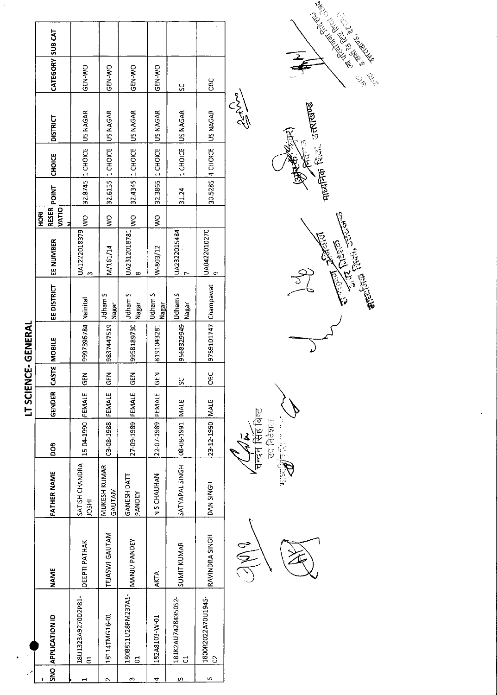|        |                         |                           |                               |                                |        |            | LT SCIENCE-GENERAL    |                         |                          |                      |                    |                           |          |                  |  |
|--------|-------------------------|---------------------------|-------------------------------|--------------------------------|--------|------------|-----------------------|-------------------------|--------------------------|----------------------|--------------------|---------------------------|----------|------------------|--|
|        | SNO APPLICATION ID      | <b>NAME</b>               | <b>FATHER NAME</b>            | <b>BOO</b>                     | GENDER |            | CASTE MOBILE          | EE DISTRICT             | EE NUMBER                | VATIO<br><b>HORI</b> | <b>RESER</b> POINT | <b>CHOICE</b>             | DISTRICT | CATEGORY SUB CAT |  |
|        | 18U1323A9270D2P81-<br>5 | <b>DEEPTI PATHAK</b>      | SATISH CHANDRA<br><b>HSOL</b> | 15-04-1990 FEMALE              |        | <b>Nap</b> | 9997396784   Nainital |                         | UA1222018379<br>S        | $\frac{1}{2}$        |                    | 32.8745 1 CHOICE US NAGAR |          | GEN-WO           |  |
| $\sim$ | 18114TMG16-01           | TEJASWI GAUTAM            | MUKESH KUMAR<br>GAUTAM        | 03-08-1988                     | FEMALE | <b>K3D</b> | 9837447519            | Udham S<br>Nagar        | M/161/14                 | ş                    | 32.6155 1 CHOICE   |                           | US NAGAR | GEN-VO           |  |
| m      | 1808811U28PM237A1-<br>5 | MANJU PANDEY              | GANESH DATT<br>PANDEY         | 27-09-1989 FEMALE              |        | <b>GEN</b> | 9958189730            | Udham S<br>Nagar        | UA2312018781<br>$\infty$ | $\geq$               |                    | 32.4345 1 CHOICE US NAGAR |          | GEN-WO           |  |
| 4      | 182A8103-W-01           | <b>AKTA</b>               | NAHINHI S N                   | 22-07-1989                     | FEMALE | <b>SEN</b> | 8191043281            | <b>Udham S</b><br>Nagar | W-803/12                 | Ş                    | 32.3865 1 CHOICE   |                           | US NAGAR | <b>CEN-WO</b>    |  |
| m      | 181K2AU7428435052-<br>g | <b>SUMIT KUMAR</b>        | SATYAPAL SINGH                | 31MM 1661-80-80                |        | <u>ss</u>  | 9568329949            | Udham S<br>Nagar        | UA2322015484             |                      | 31.24              | 1 CHOICE US NAGAR         |          | ပ္ပ              |  |
| ဖ      | 1800R2022A70U194S-<br>8 | RAVINDRA SINGH            | <b>DAN SINGH</b>              | 23-12-1990 MALE                |        | <b>DBC</b> | 9759101747 Champawat  |                         | UA0422010270<br>o        |                      |                    | 30.5285 4 CHOICE US NAGAR |          | <b>OBC</b>       |  |
|        |                         | $\mathbb{Z} \mathbb{N}^0$ |                               | $\frac{1}{4}$<br>$\frac{1}{4}$ |        |            |                       |                         |                          |                      |                    |                           | CIVES    |                  |  |

 $\sim$ 



**४<sub>चन्देन सिंह** बिस्ट<br>उप निर्दे**स**ा</sub> 13/12  $\ddot{z}$  $-\frac{1}{6}$ **C**